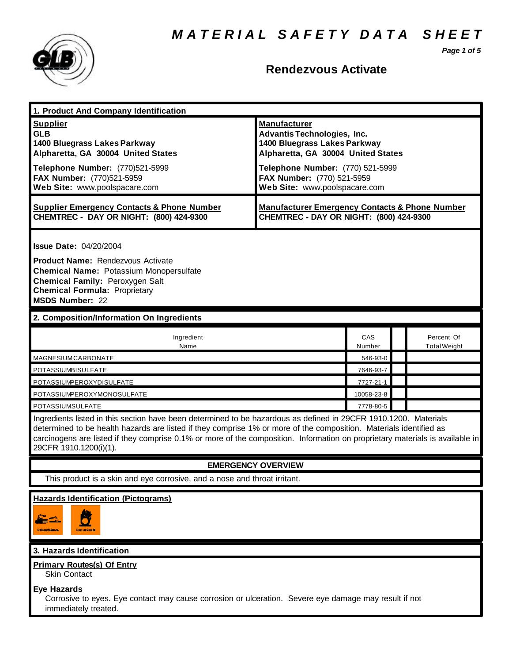*M A T E R I A L S A F E T Y D A T A S H E E T*

*Page 1 of 5*



# **Rendezvous Activate**

| 1. Product And Company Identification                                                                                                                                                                                                                                                                                                                                                             |                                                                                                                                                                                                                                    |               |  |                                   |
|---------------------------------------------------------------------------------------------------------------------------------------------------------------------------------------------------------------------------------------------------------------------------------------------------------------------------------------------------------------------------------------------------|------------------------------------------------------------------------------------------------------------------------------------------------------------------------------------------------------------------------------------|---------------|--|-----------------------------------|
| <b>Supplier</b><br><b>GLB</b><br>1400 Bluegrass Lakes Parkway<br>Alpharetta, GA 30004 United States<br>Telephone Number: (770)521-5999<br>FAX Number: (770)521-5959                                                                                                                                                                                                                               | <b>Manufacturer</b><br><b>Advantis Technologies, Inc.</b><br>1400 Bluegrass Lakes Parkway<br>Alpharetta, GA 30004 United States<br>Telephone Number: (770) 521-5999<br>FAX Number: (770) 521-5959<br>Web Site: www.poolspacare.com |               |  |                                   |
| Web Site: www.poolspacare.com                                                                                                                                                                                                                                                                                                                                                                     |                                                                                                                                                                                                                                    |               |  |                                   |
| <b>Supplier Emergency Contacts &amp; Phone Number</b><br>CHEMTREC - DAY OR NIGHT: (800) 424-9300                                                                                                                                                                                                                                                                                                  | <b>Manufacturer Emergency Contacts &amp; Phone Number</b><br>CHEMTREC - DAY OR NIGHT: (800) 424-9300                                                                                                                               |               |  |                                   |
| <b>Issue Date: 04/20/2004</b>                                                                                                                                                                                                                                                                                                                                                                     |                                                                                                                                                                                                                                    |               |  |                                   |
| <b>Product Name: Rendezvous Activate</b><br><b>Chemical Name: Potassium Monopersulfate</b><br>Chemical Family: Peroxygen Salt<br><b>Chemical Formula: Proprietary</b><br><b>MSDS Number: 22</b>                                                                                                                                                                                                   |                                                                                                                                                                                                                                    |               |  |                                   |
| 2. Composition/Information On Ingredients                                                                                                                                                                                                                                                                                                                                                         |                                                                                                                                                                                                                                    |               |  |                                   |
| Ingredient<br>Name                                                                                                                                                                                                                                                                                                                                                                                |                                                                                                                                                                                                                                    | CAS<br>Number |  | Percent Of<br><b>Total Weight</b> |
| <b>MAGNESIUM CARBONATE</b>                                                                                                                                                                                                                                                                                                                                                                        |                                                                                                                                                                                                                                    | 546-93-0      |  |                                   |
| POTASSIUMBISULFATE                                                                                                                                                                                                                                                                                                                                                                                |                                                                                                                                                                                                                                    | 7646-93-7     |  |                                   |
| POTASSIUMPEROXYDISULFATE                                                                                                                                                                                                                                                                                                                                                                          |                                                                                                                                                                                                                                    | 7727-21-1     |  |                                   |
| POTASSIUMPEROXYMONOSULFATE                                                                                                                                                                                                                                                                                                                                                                        |                                                                                                                                                                                                                                    | 10058-23-8    |  |                                   |
| <b>POTASSIUMSULFATE</b>                                                                                                                                                                                                                                                                                                                                                                           |                                                                                                                                                                                                                                    |               |  |                                   |
| Ingredients listed in this section have been determined to be hazardous as defined in 29CFR 1910.1200. Materials<br>determined to be health hazards are listed if they comprise 1% or more of the composition. Materials identified as<br>carcinogens are listed if they comprise 0.1% or more of the composition. Information on proprietary materials is available in<br>29CFR 1910.1200(i)(1). |                                                                                                                                                                                                                                    |               |  |                                   |
| <b>EMERGENCY OVERVIEW</b>                                                                                                                                                                                                                                                                                                                                                                         |                                                                                                                                                                                                                                    |               |  |                                   |
| This product is a skin and eye corrosive, and a nose and throat irritant.                                                                                                                                                                                                                                                                                                                         |                                                                                                                                                                                                                                    |               |  |                                   |
| <b>Hazards Identification (Pictograms)</b>                                                                                                                                                                                                                                                                                                                                                        |                                                                                                                                                                                                                                    |               |  |                                   |
| Ŵ<br>CONDICUENTE.                                                                                                                                                                                                                                                                                                                                                                                 |                                                                                                                                                                                                                                    |               |  |                                   |
| 3. Hazards Identification                                                                                                                                                                                                                                                                                                                                                                         |                                                                                                                                                                                                                                    |               |  |                                   |
| <b>Primary Routes(s) Of Entry</b><br><b>Skin Contact</b>                                                                                                                                                                                                                                                                                                                                          |                                                                                                                                                                                                                                    |               |  |                                   |
| <b>Eye Hazards</b><br>Corrosive to eyes. Eye contact may cause corrosion or ulceration. Severe eye damage may result if not                                                                                                                                                                                                                                                                       |                                                                                                                                                                                                                                    |               |  |                                   |

immediately treated.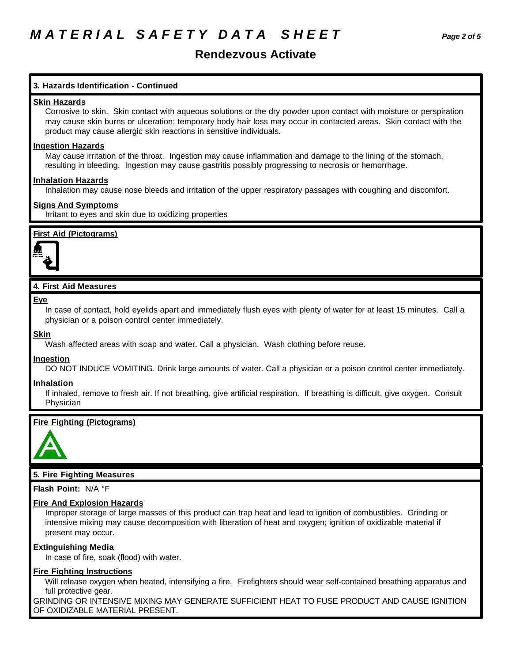# **Rendezvous Activate**

# **3. Hazards Identification - Continued**

#### **Skin Hazards**

Corrosive to skin. Skin contact with aqueous solutions or the dry powder upon contact with moisture or perspiration may cause skin burns or ulceration; temporary body hair loss may occur in contacted areas. Skin contact with the product may cause allergic skin reactions in sensitive individuals.

#### **Ingestion Hazards**

May cause irritation of the throat. Ingestion may cause inflammation and damage to the lining of the stomach, resulting in bleeding. Ingestion may cause gastritis possibly progressing to necrosis or hemorrhage.

### **Inhalation Hazards**

Inhalation may cause nose bleeds and irritation of the upper respiratory passages with coughing and discomfort.

### **Signs And Symptoms**

Irritant to eyes and skin due to oxidizing properties

## **First Aid (Pictograms)**



# **4. First Aid Measures**

#### **Eye**

In case of contact, hold eyelids apart and immediately flush eyes with plenty of water for at least 15 minutes. Call a physician or a poison control center immediately.

#### **Skin**

Wash affected areas with soap and water. Call a physician. Wash clothing before reuse.

## **Ingestion**

DO NOT INDUCE VOMITING. Drink large amounts of water. Call a physician or a poison control center immediately.

#### **Inhalation**

If inhaled, remove to fresh air. If not breathing, give artificial respiration. If breathing is difficult, give oxygen. Consult Physician

## **Fire Fighting (Pictograms)**



## **5. Fire Fighting Measures**

**Flash Point:** N/A °F

#### **Fire And Explosion Hazards**

Improper storage of large masses of this product can trap heat and lead to ignition of combustibles. Grinding or intensive mixing may cause decomposition with liberation of heat and oxygen; ignition of oxidizable material if present may occur.

#### **Extinguishing Media**

In case of fire, soak (flood) with water.

## **Fire Fighting Instructions**

Will release oxygen when heated, intensifying a fire. Firefighters should wear self-contained breathing apparatus and full protective gear.

GRINDING OR INTENSIVE MIXING MAY GENERATE SUFFICIENT HEAT TO FUSE PRODUCT AND CAUSE IGNITION OF OXIDIZABLE MATERIAL PRESENT.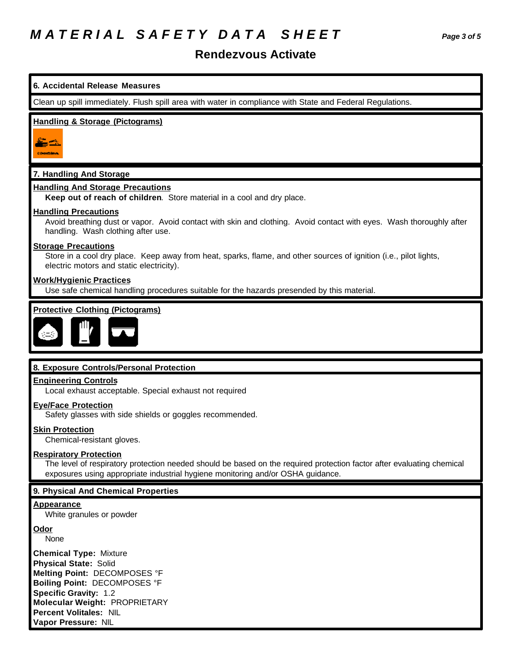# **Rendezvous Activate**



None

**Chemical Type:** Mixture **Physical State:** Solid **Melting Point:** DECOMPOSES °F **Boiling Point:** DECOMPOSES °F **Specific Gravity:** 1.2 **Molecular Weight:** PROPRIETARY **Percent Volitales:** NIL **Vapor Pressure:** NIL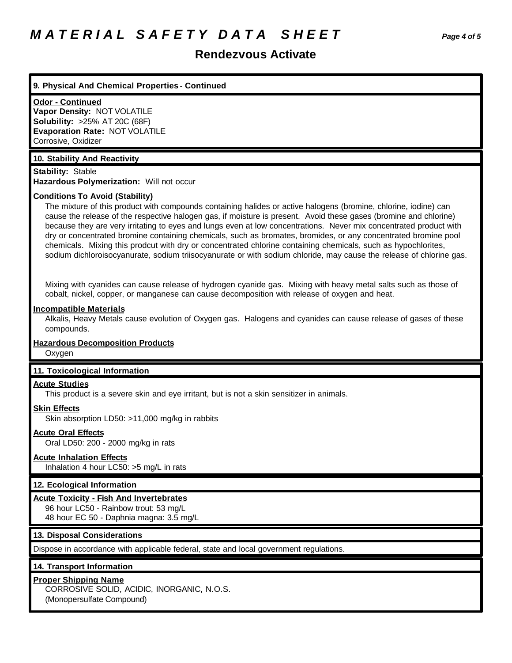# *M A T E R I A L S A F E T Y D A T A S H E E T Page 4 of 5*

# **Rendezvous Activate**

#### **9. Physical And Chemical Properties - Continued**

#### **Odor - Continued**

**Vapor Density:** NOT VOLATILE **Solubility:** >25% AT 20C (68F) **Evaporation Rate:** NOT VOLATILE Corrosive, Oxidizer

### **10. Stability And Reactivity**

**Stability:** Stable **Hazardous Polymerization:** Will not occur

#### **Conditions To Avoid (Stability)**

The mixture of this product with compounds containing halides or active halogens (bromine, chlorine, iodine) can cause the release of the respective halogen gas, if moisture is present. Avoid these gases (bromine and chlorine) because they are very irritating to eyes and lungs even at low concentrations. Never mix concentrated product with dry or concentrated bromine containing chemicals, such as bromates, bromides, or any concentrated bromine pool chemicals. Mixing this prodcut with dry or concentrated chlorine containing chemicals, such as hypochlorites, sodium dichloroisocyanurate, sodium triisocyanurate or with sodium chloride, may cause the release of chlorine gas.

Mixing with cyanides can cause release of hydrogen cyanide gas. Mixing with heavy metal salts such as those of cobalt, nickel, copper, or manganese can cause decomposition with release of oxygen and heat.

#### **Incompatible Materials**

Alkalis, Heavy Metals cause evolution of Oxygen gas. Halogens and cyanides can cause release of gases of these compounds.

# **Hazardous Decomposition Products**

**Oxygen** 

#### **11. Toxicological Information**

#### **Acute Studies**

This product is a severe skin and eye irritant, but is not a skin sensitizer in animals.

# **Skin Effects**

Skin absorption LD50: >11,000 mg/kg in rabbits

### **Acute Oral Effects**

Oral LD50: 200 - 2000 mg/kg in rats

#### **Acute Inhalation Effects**

Inhalation 4 hour LC50: >5 mg/L in rats

#### **12. Ecological Information**

#### **Acute Toxicity - Fish And Invertebrates**

96 hour LC50 - Rainbow trout: 53 mg/L 48 hour EC 50 - Daphnia magna: 3.5 mg/L

### **13. Disposal Considerations**

Dispose in accordance with applicable federal, state and local government regulations.

#### **14. Transport Information**

## **Proper Shipping Name**

CORROSIVE SOLID, ACIDIC, INORGANIC, N.O.S. (Monopersulfate Compound)